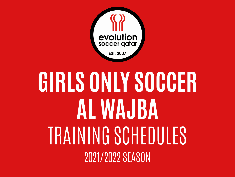

## **GIRLS ONLY SOCCER AL WAJBA** TRAINING SCHEDULES 2021/2022 SEASON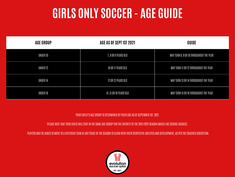## **GIRLS ONLY SOCCER - AGE GUIDE**

| <b>AGE GROUP</b> | AGE AS OF SEPT 1ST 2021 | GUIDE                                   |  |
|------------------|-------------------------|-----------------------------------------|--|
| UNDER 10         | 7, 8 OR 9 YEARS OLD     | MAY TURN 8, 9 OR 10 THROUGHOUT THE YEAR |  |
| UNDER 12         | 10 OR 11 YEARS OLD      | MAY TURN 11 OR 12 THROUGHOUT THE YEAR   |  |
| UNDER 14         | 12 OR 13 YEARS OLD      | MAY TURN 13 OR 14 THROUGHOUT THE YEAR   |  |
| UNDER 16         | 14,15 OR 16 YEARS OLD   | MAY TURN 15 OR 16 THROUGHOUT THE YEAR   |  |

YOUR CHILD'S AGE GROUP IS DETERMINED BY THEIR AGE AS OF SEPTEMBER 1ST, 2021.

PLEASE NOTE THAT YOUR CHILD WILL STAY IN THE SAME AGE GROUP FOR THE ENTIRETY OF THE 2021/2022 SEASON (MUCH LIKE SCHOOL GRADES).

PLAYERS MAY BE ASKED TO MOVE TO A DIFFERENT TEAM AT ANY STAGE OF THE SEASON TO ALIGN WITH THEIR RESPECTIVE ABILITIES AND DEVELOPMENT, AS PER THE COACHES DISCRETION.